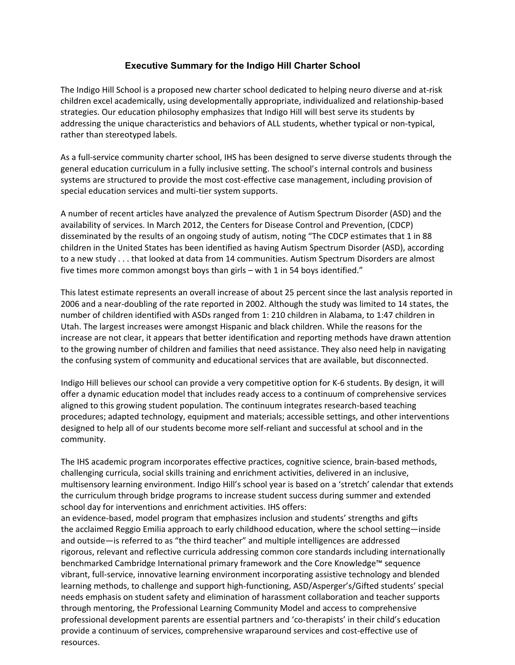## **Executive Summary for the Indigo Hill Charter School**

The Indigo Hill School is a proposed new charter school dedicated to helping neuro diverse and at‐risk children excel academically, using developmentally appropriate, individualized and relationship‐based strategies. Our education philosophy emphasizes that Indigo Hill will best serve its students by addressing the unique characteristics and behaviors of ALL students, whether typical or non-typical, rather than stereotyped labels.

As a full‐service community charter school, IHS has been designed to serve diverse students through the general education curriculum in a fully inclusive setting. The school's internal controls and business systems are structured to provide the most cost-effective case management, including provision of special education services and multi-tier system supports.

A number of recent articles have analyzed the prevalence of Autism Spectrum Disorder (ASD) and the availability of services. In March 2012, the Centers for Disease Control and Prevention, (CDCP) disseminated by the results of an ongoing study of autism, noting "The CDCP estimates that 1 in 88 children in the United States has been identified as having Autism Spectrum Disorder (ASD), according to a new study . . . that looked at data from 14 communities. Autism Spectrum Disorders are almost five times more common amongst boys than girls – with 1 in 54 boys identified."

This latest estimate represents an overall increase of about 25 percent since the last analysis reported in 2006 and a near‐doubling of the rate reported in 2002. Although the study was limited to 14 states, the number of children identified with ASDs ranged from 1: 210 children in Alabama, to 1:47 children in Utah. The largest increases were amongst Hispanic and black children. While the reasons for the increase are not clear, it appears that better identification and reporting methods have drawn attention to the growing number of children and families that need assistance. They also need help in navigating the confusing system of community and educational services that are available, but disconnected.

Indigo Hill believes our school can provide a very competitive option for K‐6 students. By design, it will offer a dynamic education model that includes ready access to a continuum of comprehensive services aligned to this growing student population. The continuum integrates research-based teaching procedures; adapted technology, equipment and materials; accessible settings, and other interventions designed to help all of our students become more self‐reliant and successful at school and in the community.

The IHS academic program incorporates effective practices, cognitive science, brain‐based methods, challenging curricula, social skills training and enrichment activities, delivered in an inclusive, multisensory learning environment. Indigo Hill's school year is based on a 'stretch' calendar that extends the curriculum through bridge programs to increase student success during summer and extended school day for interventions and enrichment activities. IHS offers:

an evidence‐based, model program that emphasizes inclusion and students' strengths and gifts the acclaimed Reggio Emilia approach to early childhood education, where the school setting—inside and outside—is referred to as "the third teacher" and multiple intelligences are addressed rigorous, relevant and reflective curricula addressing common core standards including internationally benchmarked Cambridge International primary framework and the Core Knowledge™ sequence vibrant, full‐service, innovative learning environment incorporating assistive technology and blended learning methods, to challenge and support high‐functioning, ASD/Asperger's/Gifted students' special needs emphasis on student safety and elimination of harassment collaboration and teacher supports through mentoring, the Professional Learning Community Model and access to comprehensive professional development parents are essential partners and 'co‐therapists' in their child's education provide a continuum of services, comprehensive wraparound services and cost‐effective use of resources.